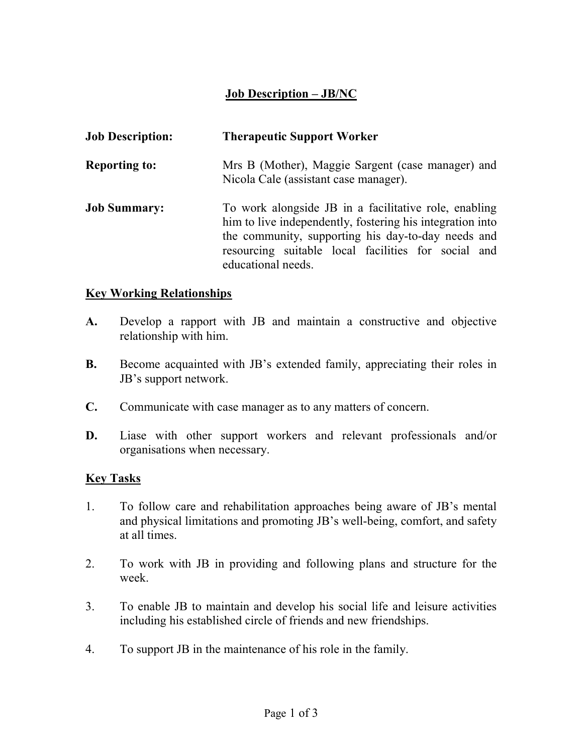## Job Description – JB/NC

| <b>Job Description:</b> | <b>Therapeutic Support Worker</b>                                                                                                                                                                                                                     |
|-------------------------|-------------------------------------------------------------------------------------------------------------------------------------------------------------------------------------------------------------------------------------------------------|
| <b>Reporting to:</b>    | Mrs B (Mother), Maggie Sargent (case manager) and<br>Nicola Cale (assistant case manager).                                                                                                                                                            |
| <b>Job Summary:</b>     | To work alongside JB in a facilitative role, enabling<br>him to live independently, fostering his integration into<br>the community, supporting his day-to-day needs and<br>resourcing suitable local facilities for social and<br>educational needs. |

## Key Working Relationships

- A. Develop a rapport with JB and maintain a constructive and objective relationship with him.
- B. Become acquainted with JB's extended family, appreciating their roles in JB's support network.
- C. Communicate with case manager as to any matters of concern.
- D. Liase with other support workers and relevant professionals and/or organisations when necessary.

## Key Tasks

- 1. To follow care and rehabilitation approaches being aware of JB's mental and physical limitations and promoting JB's well-being, comfort, and safety at all times.
- 2. To work with JB in providing and following plans and structure for the week.
- 3. To enable JB to maintain and develop his social life and leisure activities including his established circle of friends and new friendships.
- 4. To support JB in the maintenance of his role in the family.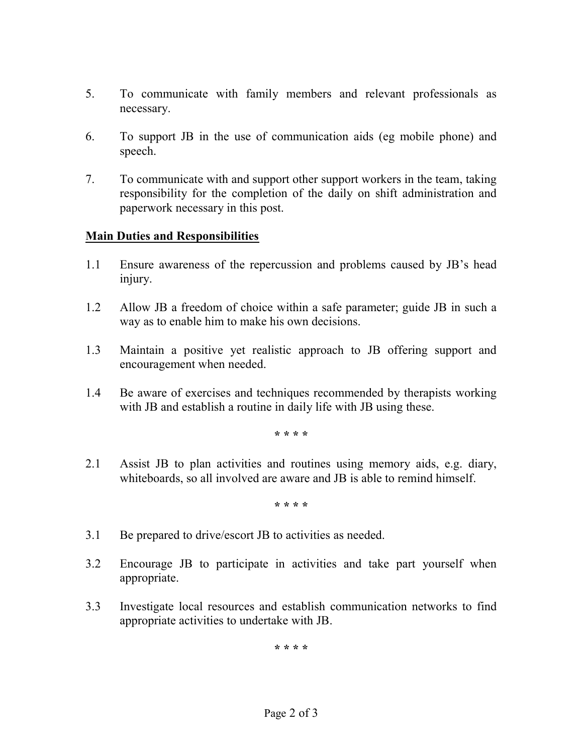- 5. To communicate with family members and relevant professionals as necessary.
- 6. To support JB in the use of communication aids (eg mobile phone) and speech.
- 7. To communicate with and support other support workers in the team, taking responsibility for the completion of the daily on shift administration and paperwork necessary in this post.

## Main Duties and Responsibilities

- 1.1 Ensure awareness of the repercussion and problems caused by JB's head injury.
- 1.2 Allow JB a freedom of choice within a safe parameter; guide JB in such a way as to enable him to make his own decisions.
- 1.3 Maintain a positive yet realistic approach to JB offering support and encouragement when needed.
- 1.4 Be aware of exercises and techniques recommended by therapists working with JB and establish a routine in daily life with JB using these.

\* \* \* \*

2.1 Assist JB to plan activities and routines using memory aids, e.g. diary, whiteboards, so all involved are aware and JB is able to remind himself.

\* \* \* \*

- 3.1 Be prepared to drive/escort JB to activities as needed.
- 3.2 Encourage JB to participate in activities and take part yourself when appropriate.
- 3.3 Investigate local resources and establish communication networks to find appropriate activities to undertake with JB.

\* \* \* \*